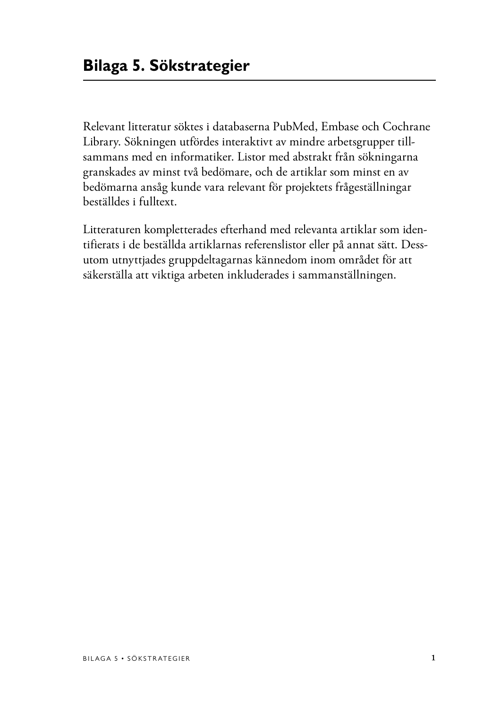Relevant litteratur söktes i databaserna PubMed, Embase och Cochrane Library. Sökningen utfördes interaktivt av mindre arbetsgrupper tillsammans med en informatiker. Listor med abstrakt från sökningarna granskades av minst två bedömare, och de artiklar som minst en av bedömarna ansåg kunde vara relevant för projektets frågeställningar beställdes i fulltext.

Litteraturen kompletterades efterhand med relevanta artiklar som identifierats i de beställda artiklarnas referenslistor eller på annat sätt. Dessutom utnyttjades gruppdeltagarnas kännedom inom området för att säkerställa att viktiga arbeten inkluderades i sammanställningen.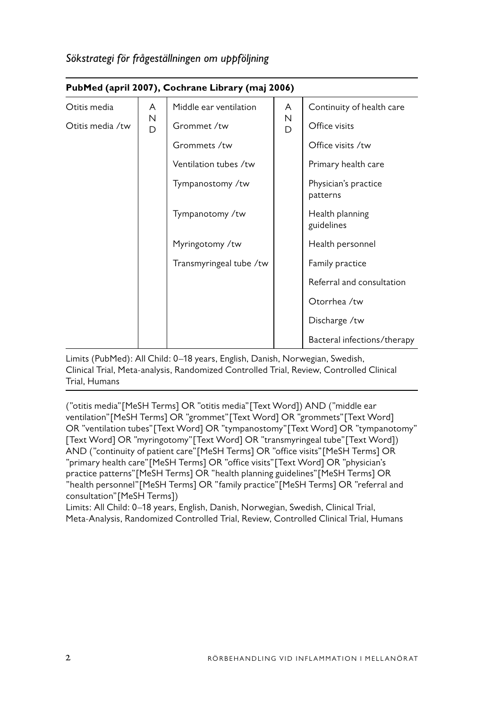|                  | PubMed (april 2007), Cochrane Library (maj 2006) |                         |        |                                  |  |  |  |  |  |
|------------------|--------------------------------------------------|-------------------------|--------|----------------------------------|--|--|--|--|--|
| Otitis media     | A                                                | Middle ear ventilation  | A      | Continuity of health care        |  |  |  |  |  |
| Otitis media /tw | N<br>D                                           | Grommet /tw             | N<br>D | Office visits                    |  |  |  |  |  |
|                  |                                                  | Grommets /tw            |        | Office visits /tw                |  |  |  |  |  |
|                  |                                                  | Ventilation tubes /tw   |        | Primary health care              |  |  |  |  |  |
|                  |                                                  | Tympanostomy /tw        |        | Physician's practice<br>patterns |  |  |  |  |  |
|                  |                                                  | Tympanotomy /tw         |        | Health planning<br>guidelines    |  |  |  |  |  |
|                  |                                                  | Myringotomy /tw         |        | Health personnel                 |  |  |  |  |  |
|                  |                                                  | Transmyringeal tube /tw |        | Family practice                  |  |  |  |  |  |
|                  |                                                  |                         |        | Referral and consultation        |  |  |  |  |  |
|                  |                                                  |                         |        | Otorrhea /tw                     |  |  |  |  |  |
|                  |                                                  |                         |        | Discharge /tw                    |  |  |  |  |  |
|                  |                                                  |                         |        | Bacteral infections/therapy      |  |  |  |  |  |

# **PubMed (april 2007), Cochrane Library (maj 2006)**

Limits (PubMed): All Child: 0–18 years, English, Danish, Norwegian, Swedish, Clinical Trial, Meta-analysis, Randomized Controlled Trial, Review, Controlled Clinical Trial, Humans

("otitis media"[MeSH Terms] OR "otitis media"[Text Word]) AND ("middle ear ventilation"[MeSH Terms] OR "grommet"[Text Word] OR "grommets"[Text Word] OR "ventilation tubes"[Text Word] OR "tympanostomy"[Text Word] OR "tympanotomy" [Text Word] OR "myringotomy"[Text Word] OR "transmyringeal tube"[Text Word]) AND ("continuity of patient care"[MeSH Terms] OR "office visits"[MeSH Terms] OR "primary health care"[MeSH Terms] OR "office visits"[Text Word] OR "physician's practice patterns"[MeSH Terms] OR "health planning guidelines"[MeSH Terms] OR "health personnel"[MeSH Terms] OR "family practice"[MeSH Terms] OR "referral and consultation"[MeSH Terms])

Limits: All Child: 0–18 years, English, Danish, Norwegian, Swedish, Clinical Trial, Meta-Analysis, Randomized Controlled Trial, Review, Controlled Clinical Trial, Humans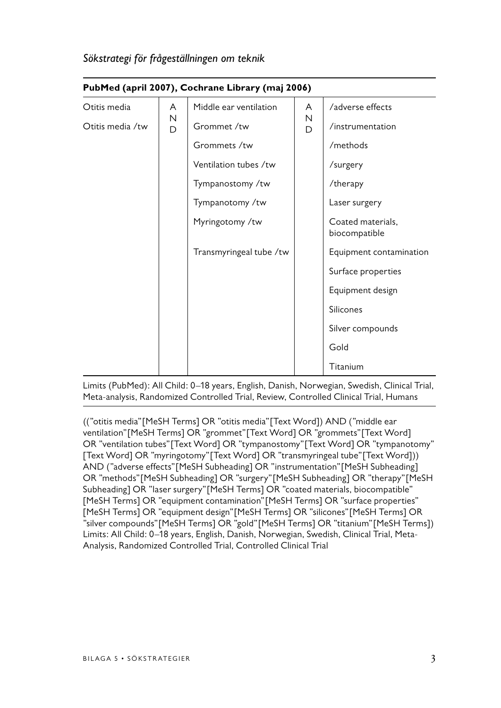|                            | $\frac{1}{2}$ |                         |        |                                    |  |  |  |  |
|----------------------------|---------------|-------------------------|--------|------------------------------------|--|--|--|--|
| Otitis media               | A             | Middle ear ventilation  | A      | /adverse effects                   |  |  |  |  |
| Ν<br>Otitis media /tw<br>D |               | Grommet /tw             | Ν<br>D | /instrumentation                   |  |  |  |  |
|                            |               | Grommets /tw            |        | /methods                           |  |  |  |  |
|                            |               | Ventilation tubes /tw   |        | /surgery                           |  |  |  |  |
|                            |               | Tympanostomy /tw        |        | /therapy                           |  |  |  |  |
|                            |               | Tympanotomy /tw         |        | Laser surgery                      |  |  |  |  |
|                            |               | Myringotomy /tw         |        | Coated materials,<br>biocompatible |  |  |  |  |
|                            |               | Transmyringeal tube /tw |        | Equipment contamination            |  |  |  |  |
|                            |               |                         |        | Surface properties                 |  |  |  |  |
|                            |               |                         |        | Equipment design                   |  |  |  |  |
|                            |               |                         |        | Silicones                          |  |  |  |  |
|                            |               |                         |        | Silver compounds                   |  |  |  |  |
|                            |               |                         |        | Gold                               |  |  |  |  |
|                            |               |                         |        | Titanium                           |  |  |  |  |

# **PubMed (april 2007), Cochrane Library (maj 2006)**

Limits (PubMed): All Child: 0–18 years, English, Danish, Norwegian, Swedish, Clinical Trial, Meta-analysis, Randomized Controlled Trial, Review, Controlled Clinical Trial, Humans

(("otitis media"[MeSH Terms] OR "otitis media"[Text Word]) AND ("middle ear ventilation"[MeSH Terms] OR "grommet"[Text Word] OR "grommets"[Text Word] OR "ventilation tubes"[Text Word] OR "tympanostomy"[Text Word] OR "tympanotomy" [Text Word] OR "myringotomy"[Text Word] OR "transmyringeal tube"[Text Word])) AND ("adverse effects"[MeSH Subheading] OR "instrumentation"[MeSH Subheading] OR "methods"[MeSH Subheading] OR "surgery"[MeSH Subheading] OR "therapy"[MeSH Subheading] OR "laser surgery"[MeSH Terms] OR "coated materials, biocompatible" [MeSH Terms] OR "equipment contamination" [MeSH Terms] OR "surface properties" [MeSH Terms] OR "equipment design"[MeSH Terms] OR "silicones"[MeSH Terms] OR "silver compounds"[MeSH Terms] OR "gold"[MeSH Terms] OR "titanium"[MeSH Terms]) Limits: All Child: 0–18 years, English, Danish, Norwegian, Swedish, Clinical Trial, Meta-Analysis, Randomized Controlled Trial, Controlled Clinical Trial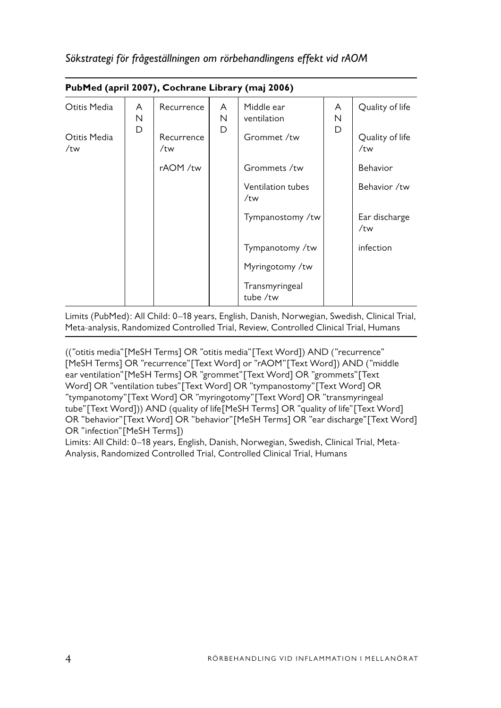|  |  | Sökstrategi för frågeställningen om rörbehandlingens effekt vid rAOM |  |
|--|--|----------------------------------------------------------------------|--|
|  |  |                                                                      |  |

| PubMed (april 2007), Cochrane Library (maj 2006) |             |                   |             |                            |             |                        |  |
|--------------------------------------------------|-------------|-------------------|-------------|----------------------------|-------------|------------------------|--|
| Otitis Media                                     | A<br>N<br>D | Recurrence        | A<br>N<br>D | Middle ear<br>ventilation  | A<br>N<br>D | Quality of life        |  |
| Otitis Media<br>/tw                              |             | Recurrence<br>/tw |             | Grommet /tw                |             | Quality of life<br>/tw |  |
|                                                  |             | rAOM /tw          |             | Grommets /tw               |             | Behavior               |  |
|                                                  |             |                   |             | Ventilation tubes<br>/tw   |             | Behavior /tw           |  |
|                                                  |             |                   |             | Tympanostomy /tw           |             | Ear discharge<br>/tw   |  |
|                                                  |             |                   |             | Tympanotomy /tw            |             | infection              |  |
|                                                  |             |                   |             | Myringotomy /tw            |             |                        |  |
|                                                  |             |                   |             | Transmyringeal<br>tube /tw |             |                        |  |

Limits (PubMed): All Child: 0–18 years, English, Danish, Norwegian, Swedish, Clinical Trial, Meta-analysis, Randomized Controlled Trial, Review, Controlled Clinical Trial, Humans

(("otitis media"[MeSH Terms] OR "otitis media"[Text Word]) AND ("recurrence" [MeSH Terms] OR "recurrence"[Text Word] or "rAOM"[Text Word]) AND ("middle ear ventilation"[MeSH Terms] OR "grommet"[Text Word] OR "grommets"[Text Word] OR "ventilation tubes"[Text Word] OR "tympanostomy"[Text Word] OR "tympanotomy"[Text Word] OR "myringotomy"[Text Word] OR "transmyringeal tube"[Text Word])) AND (quality of life[MeSH Terms] OR "quality of life"[Text Word] OR "behavior"[Text Word] OR "behavior"[MeSH Terms] OR "ear discharge"[Text Word] OR "infection"[MeSH Terms])

Limits: All Child: 0–18 years, English, Danish, Norwegian, Swedish, Clinical Trial, Meta-Analysis, Randomized Controlled Trial, Controlled Clinical Trial, Humans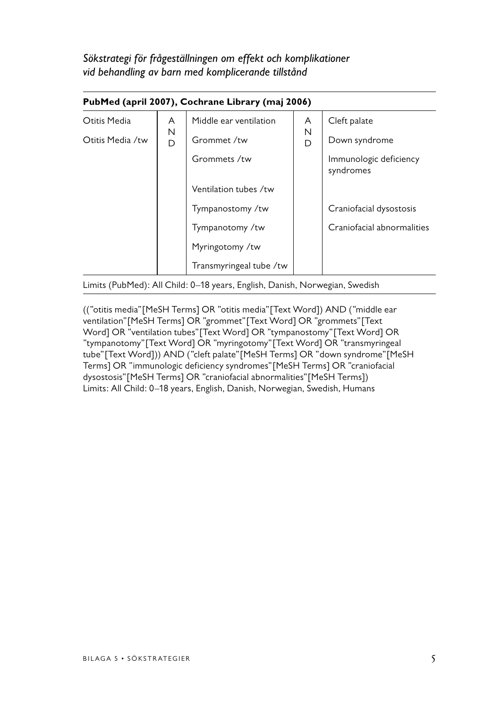*Sökstrategi för frågeställningen om effekt och komplikationer vid behandling av barn med komplicerande tillstånd* 

|                  | Pubmed (april 2007), Cochrane Library (maj 2006) |                         |        |                                     |  |  |  |  |  |  |
|------------------|--------------------------------------------------|-------------------------|--------|-------------------------------------|--|--|--|--|--|--|
| Otitis Media     | A                                                | Middle ear ventilation  | A      | Cleft palate                        |  |  |  |  |  |  |
| Otitis Media /tw | N<br>D                                           | Grommet /tw             | Ν<br>D | Down syndrome                       |  |  |  |  |  |  |
|                  |                                                  | Grommets /tw            |        | Immunologic deficiency<br>syndromes |  |  |  |  |  |  |
|                  |                                                  | Ventilation tubes /tw   |        |                                     |  |  |  |  |  |  |
|                  |                                                  | Tympanostomy /tw        |        | Craniofacial dysostosis             |  |  |  |  |  |  |
|                  |                                                  | Tympanotomy /tw         |        | Craniofacial abnormalities          |  |  |  |  |  |  |
|                  |                                                  | Myringotomy /tw         |        |                                     |  |  |  |  |  |  |
|                  |                                                  | Transmyringeal tube /tw |        |                                     |  |  |  |  |  |  |

# **PubMed (april 2007), Cochrane Library (maj 2006)**

Limits (PubMed): All Child: 0–18 years, English, Danish, Norwegian, Swedish

(("otitis media"[MeSH Terms] OR "otitis media"[Text Word]) AND ("middle ear ventilation"[MeSH Terms] OR "grommet"[Text Word] OR "grommets"[Text Word] OR "ventilation tubes"[Text Word] OR "tympanostomy"[Text Word] OR "tympanotomy"[Text Word] OR "myringotomy"[Text Word] OR "transmyringeal tube"[Text Word])) AND ("cleft palate"[MeSH Terms] OR "down syndrome"[MeSH Terms] OR "immunologic deficiency syndromes"[MeSH Terms] OR "craniofacial dysostosis"[MeSH Terms] OR "craniofacial abnormalities"[MeSH Terms]) Limits: All Child: 0–18 years, English, Danish, Norwegian, Swedish, Humans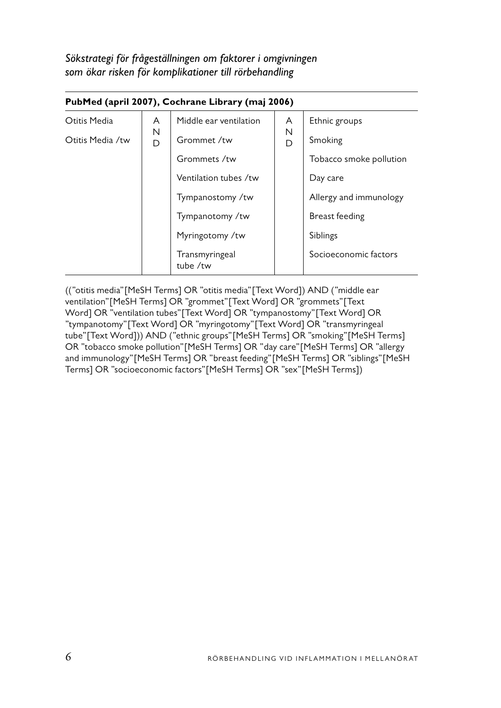*Sökstrategi för frågeställningen om faktorer i omgivningen som ökar risken för komplikationer till rörbehandling* 

| PubMed (april 2007), Cochrane Library (maj 2006) |        |                            |        |                         |  |  |  |  |
|--------------------------------------------------|--------|----------------------------|--------|-------------------------|--|--|--|--|
| Otitis Media                                     | A      | Middle ear ventilation     | A      | Ethnic groups           |  |  |  |  |
| Otitis Media /tw                                 | N<br>D | Grommet /tw                | N<br>D | Smoking                 |  |  |  |  |
|                                                  |        | Grommets /tw               |        | Tobacco smoke pollution |  |  |  |  |
|                                                  |        | Ventilation tubes /tw      |        | Day care                |  |  |  |  |
|                                                  |        | Tympanostomy /tw           |        | Allergy and immunology  |  |  |  |  |
|                                                  |        | Tympanotomy /tw            |        | Breast feeding          |  |  |  |  |
|                                                  |        | Myringotomy /tw            |        | Siblings                |  |  |  |  |
|                                                  |        | Transmyringeal<br>tube /tw |        | Socioeconomic factors   |  |  |  |  |

(("otitis media"[MeSH Terms] OR "otitis media"[Text Word]) AND ("middle ear ventilation"[MeSH Terms] OR "grommet"[Text Word] OR "grommets"[Text Word] OR "ventilation tubes"[Text Word] OR "tympanostomy"[Text Word] OR "tympanotomy"[Text Word] OR "myringotomy"[Text Word] OR "transmyringeal tube"[Text Word])) AND ("ethnic groups"[MeSH Terms] OR "smoking"[MeSH Terms] OR "tobacco smoke pollution"[MeSH Terms] OR "day care"[MeSH Terms] OR "allergy and immunology"[MeSH Terms] OR "breast feeding"[MeSH Terms] OR "siblings"[MeSH Terms] OR "socioeconomic factors"[MeSH Terms] OR "sex"[MeSH Terms])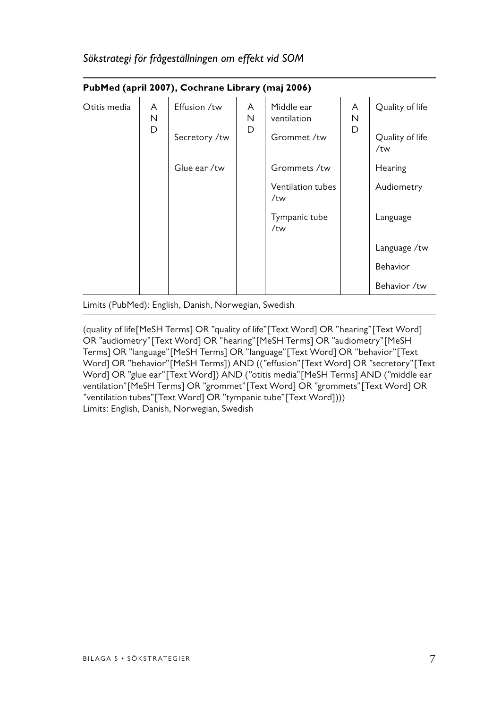|              | PubMed (april 2007), Cochrane Library (maj 2006) |              |             |                           |                        |                 |  |  |  |
|--------------|--------------------------------------------------|--------------|-------------|---------------------------|------------------------|-----------------|--|--|--|
| Otitis media | A<br>Ν<br>D                                      | Effusion /tw | A<br>Ν<br>D | Middle ear<br>ventilation | A<br>N<br>D            | Quality of life |  |  |  |
|              | Secretory /tw                                    |              | Grommet /tw |                           | Quality of life<br>/tw |                 |  |  |  |
|              |                                                  | Glue ear /tw |             | Grommets /tw              |                        | Hearing         |  |  |  |
|              |                                                  |              |             | Ventilation tubes<br>/tw  |                        | Audiometry      |  |  |  |
|              |                                                  |              |             | Tympanic tube<br>/tw      |                        | Language        |  |  |  |
|              |                                                  |              |             |                           |                        | Language /tw    |  |  |  |
|              |                                                  |              |             |                           |                        | Behavior        |  |  |  |
|              |                                                  |              |             |                           |                        | Behavior /tw    |  |  |  |

#### *Sökstrategi för frågeställningen om effekt vid SOM*

Limits (PubMed): English, Danish, Norwegian, Swedish

(quality of life[MeSH Terms] OR "quality of life"[Text Word] OR "hearing"[Text Word] OR "audiometry"[Text Word] OR "hearing"[MeSH Terms] OR "audiometry"[MeSH Terms] OR "language"[MeSH Terms] OR "language"[Text Word] OR "behavior"[Text Word] OR "behavior"[MeSH Terms]) AND (("effusion"[Text Word] OR "secretory"[Text Word] OR "glue ear"[Text Word]) AND ("otitis media"[MeSH Terms] AND ("middle ear ventilation"[MeSH Terms] OR "grommet"[Text Word] OR "grommets"[Text Word] OR "ventilation tubes"[Text Word] OR "tympanic tube"[Text Word]))) Limits: English, Danish, Norwegian, Swedish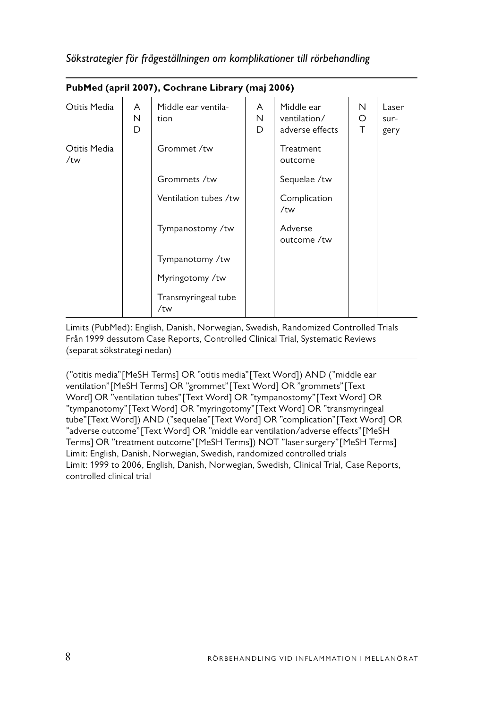|                     | PubMed (april 2007), Cochrane Library (maj 2006) |                             |             |                                               |             |                       |  |  |  |  |
|---------------------|--------------------------------------------------|-----------------------------|-------------|-----------------------------------------------|-------------|-----------------------|--|--|--|--|
| Otitis Media        | A<br>N<br>D                                      | Middle ear ventila-<br>tion | A<br>N<br>D | Middle ear<br>ventilation/<br>adverse effects | N<br>O<br>Τ | Laser<br>sur-<br>gery |  |  |  |  |
| Otitis Media<br>/tw |                                                  | Grommet /tw                 |             | Treatment<br>outcome                          |             |                       |  |  |  |  |
|                     |                                                  | Grommets /tw                |             | Sequelae /tw                                  |             |                       |  |  |  |  |
|                     |                                                  | Ventilation tubes /tw       |             | Complication<br>/tw                           |             |                       |  |  |  |  |
|                     |                                                  | Tympanostomy /tw            |             | Adverse<br>outcome /tw                        |             |                       |  |  |  |  |
|                     |                                                  | Tympanotomy /tw             |             |                                               |             |                       |  |  |  |  |
|                     |                                                  | Myringotomy /tw             |             |                                               |             |                       |  |  |  |  |
|                     |                                                  | Transmyringeal tube<br>/tw  |             |                                               |             |                       |  |  |  |  |

## *Sökstrategier för frågeställningen om komplikationer till rörbehandling*

Limits (PubMed): English, Danish, Norwegian, Swedish, Randomized Controlled Trials Från 1999 dessutom Case Reports, Controlled Clinical Trial, Systematic Reviews (separat sökstrategi nedan)

("otitis media"[MeSH Terms] OR "otitis media"[Text Word]) AND ("middle ear ventilation"[MeSH Terms] OR "grommet"[Text Word] OR "grommets"[Text Word] OR "ventilation tubes"[Text Word] OR "tympanostomy"[Text Word] OR "tympanotomy"[Text Word] OR "myringotomy"[Text Word] OR "transmyringeal tube"[Text Word]) AND ("sequelae"[Text Word] OR "complication"[Text Word] OR "adverse outcome"[Text Word] OR "middle ear ventilation/adverse effects"[MeSH Terms] OR "treatment outcome"[MeSH Terms]) NOT "laser surgery"[MeSH Terms] Limit: English, Danish, Norwegian, Swedish, randomized controlled trials Limit: 1999 to 2006, English, Danish, Norwegian, Swedish, Clinical Trial, Case Reports, controlled clinical trial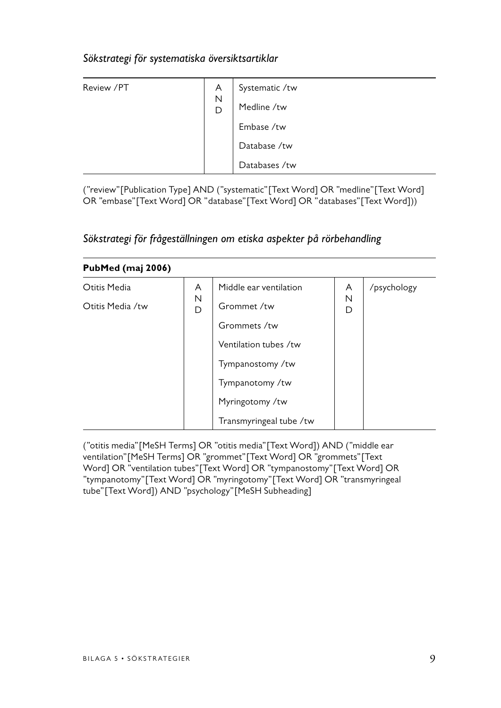## *Sökstrategi för systematiska översiktsartiklar*

| Review /PT | A<br>N<br>D | Systematic /tw |
|------------|-------------|----------------|
|            |             | Medline /tw    |
|            |             | Embase /tw     |
|            |             | Database /tw   |
|            |             | Databases /tw  |

("review"[Publication Type] AND ("systematic"[Text Word] OR "medline"[Text Word] OR "embase"[Text Word] OR "database"[Text Word] OR "databases"[Text Word]))

| PubMed (maj 2006) |        |                         |        |             |  |  |  |
|-------------------|--------|-------------------------|--------|-------------|--|--|--|
| Otitis Media      | A      | Middle ear ventilation  | A      | /psychology |  |  |  |
| Otitis Media /tw  | N<br>D | Grommet /tw             | N<br>D |             |  |  |  |
|                   |        | Grommets /tw            |        |             |  |  |  |
|                   |        | Ventilation tubes /tw   |        |             |  |  |  |
|                   |        | Tympanostomy /tw        |        |             |  |  |  |
|                   |        | Tympanotomy /tw         |        |             |  |  |  |
|                   |        | Myringotomy /tw         |        |             |  |  |  |
|                   |        | Transmyringeal tube /tw |        |             |  |  |  |

## *Sökstrategi för frågeställningen om etiska aspekter på rörbehandling*

("otitis media"[MeSH Terms] OR "otitis media"[Text Word]) AND ("middle ear ventilation"[MeSH Terms] OR "grommet"[Text Word] OR "grommets"[Text Word] OR "ventilation tubes"[Text Word] OR "tympanostomy"[Text Word] OR "tympanotomy"[Text Word] OR "myringotomy"[Text Word] OR "transmyringeal tube"[Text Word]) AND "psychology"[MeSH Subheading]